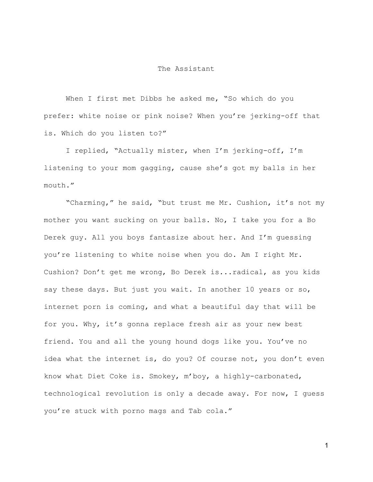## The Assistant

When I first met Dibbs he asked me, "So which do you prefer: white noise or pink noise? When you're jerking-off that is. Which do you listen to?"

I replied, "Actually mister, when I'm jerking-off, I'm listening to your mom gagging, cause she's got my balls in her mouth."

"Charming," he said, "but trust me Mr. Cushion, it's not my mother you want sucking on your balls. No, I take you for a Bo Derek guy. All you boys fantasize about her. And I'm guessing you're listening to white noise when you do. Am I right Mr. Cushion? Don't get me wrong, Bo Derek is...radical, as you kids say these days. But just you wait. In another 10 years or so, internet porn is coming, and what a beautiful day that will be for you. Why, it's gonna replace fresh air as your new best friend. You and all the young hound dogs like you. You've no idea what the internet is, do you? Of course not, you don't even know what Diet Coke is. Smokey, m'boy, a highly-carbonated, technological revolution is only a decade away. For now, I guess you're stuck with porno mags and Tab cola."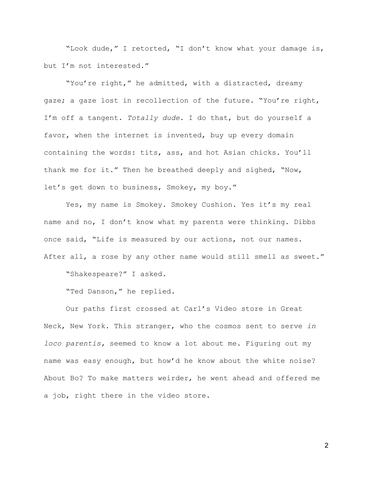"Look dude," I retorted, "I don't know what your damage is, but I'm not interested."

"You're right," he admitted, with a distracted, dreamy gaze; a gaze lost in recollection of the future. "You're right, I'm off a tangent. *Totally dude*. I do that, but do yourself a favor, when the internet is invented, buy up every domain containing the words: tits, ass, and hot Asian chicks. You'll thank me for it." Then he breathed deeply and sighed, "Now, let's get down to business, Smokey, my boy."

Yes, my name is Smokey. Smokey Cushion. Yes it's my real name and no, I don't know what my parents were thinking. Dibbs once said, "Life is measured by our actions, not our names. After all, a rose by any other name would still smell as sweet."

"Shakespeare?" I asked.

"Ted Danson," he replied.

Our paths first crossed at Carl's Video store in Great Neck, New York. This stranger, who the cosmos sent to serve *in loco parentis,* seemed to know a lot about me. Figuring out my name was easy enough, but how'd he know about the white noise? About Bo? To make matters weirder, he went ahead and offered me a job, right there in the video store.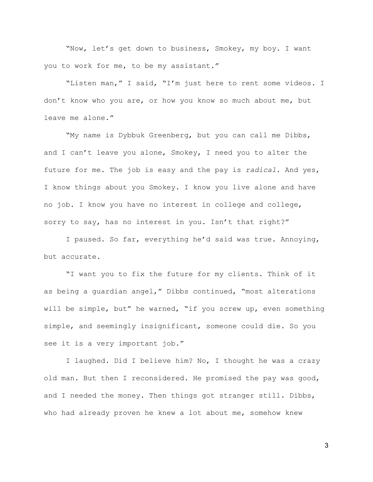"Now, let's get down to business, Smokey, my boy. I want you to work for me, to be my assistant."

"Listen man," I said, "I'm just here to rent some videos. I don't know who you are, or how you know so much about me, but leave me alone."

"My name is Dybbuk Greenberg, but you can call me Dibbs, and I can't leave you alone, Smokey, I need you to alter the future for me. The job is easy and the pay is *radical*. And yes, I know things about you Smokey. I know you live alone and have no job. I know you have no interest in college and college, sorry to say, has no interest in you. Isn't that right?"

I paused. So far, everything he'd said was true. Annoying, but accurate.

"I want you to fix the future for my clients. Think of it as being a guardian angel," Dibbs continued, "most alterations will be simple, but" he warned, "if you screw up, even something simple, and seemingly insignificant, someone could die. So you see it is a very important job."

I laughed. Did I believe him? No, I thought he was a crazy old man. But then I reconsidered. He promised the pay was good, and I needed the money. Then things got stranger still. Dibbs, who had already proven he knew a lot about me, somehow knew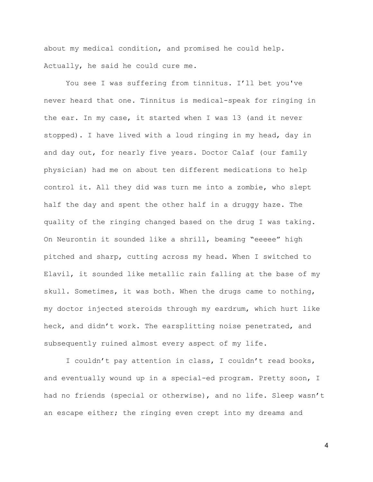about my medical condition, and promised he could help. Actually, he said he could cure me.

You see I was suffering from tinnitus. I'll bet you've never heard that one. Tinnitus is medical-speak for ringing in the ear. In my case, it started when I was 13 (and it never stopped). I have lived with a loud ringing in my head, day in and day out, for nearly five years. Doctor Calaf (our family physician) had me on about ten different medications to help control it. All they did was turn me into a zombie, who slept half the day and spent the other half in a druggy haze. The quality of the ringing changed based on the drug I was taking. On Neurontin it sounded like a shrill, beaming "eeeee" high pitched and sharp, cutting across my head. When I switched to Elavil, it sounded like metallic rain falling at the base of my skull. Sometimes, it was both. When the drugs came to nothing, my doctor injected steroids through my eardrum, which hurt like heck, and didn't work. The earsplitting noise penetrated, and subsequently ruined almost every aspect of my life.

I couldn't pay attention in class, I couldn't read books, and eventually wound up in a special-ed program. Pretty soon, I had no friends (special or otherwise), and no life. Sleep wasn't an escape either; the ringing even crept into my dreams and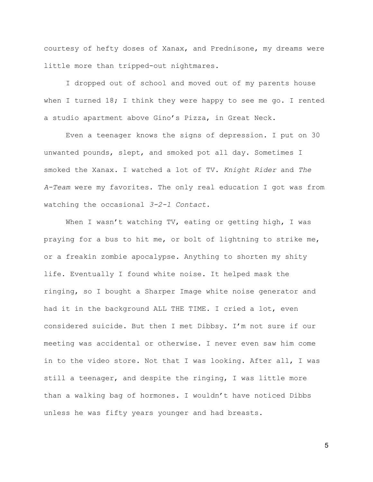courtesy of hefty doses of Xanax, and Prednisone, my dreams were little more than tripped-out nightmares.

I dropped out of school and moved out of my parents house when I turned 18; I think they were happy to see me go. I rented a studio apartment above Gino's Pizza, in Great Neck.

Even a teenager knows the signs of depression. I put on 30 unwanted pounds, slept, and smoked pot all day. Sometimes I smoked the Xanax. I watched a lot of TV. *Knight Rider* and *The A-Team* were my favorites. The only real education I got was from watching the occasional *3-2-1 Contact*.

When I wasn't watching TV, eating or getting high, I was praying for a bus to hit me, or bolt of lightning to strike me, or a freakin zombie apocalypse. Anything to shorten my shity life. Eventually I found white noise. It helped mask the ringing, so I bought a Sharper Image white noise generator and had it in the background ALL THE TIME. I cried a lot, even considered suicide. But then I met Dibbsy. I'm not sure if our meeting was accidental or otherwise. I never even saw him come in to the video store. Not that I was looking. After all, I was still a teenager, and despite the ringing, I was little more than a walking bag of hormones. I wouldn't have noticed Dibbs unless he was fifty years younger and had breasts.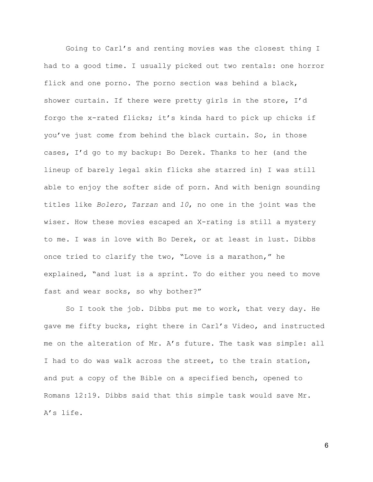Going to Carl's and renting movies was the closest thing I had to a good time. I usually picked out two rentals: one horror flick and one porno. The porno section was behind a black, shower curtain. If there were pretty girls in the store, I'd forgo the x-rated flicks; it's kinda hard to pick up chicks if you've just come from behind the black curtain. So, in those cases, I'd go to my backup: Bo Derek. Thanks to her (and the lineup of barely legal skin flicks she starred in) I was still able to enjoy the softer side of porn. And with benign sounding titles like *Bolero, Tarzan* and *10*, no one in the joint was the wiser. How these movies escaped an X-rating is still a mystery to me. I was in love with Bo Derek, or at least in lust. Dibbs once tried to clarify the two, "Love is a marathon," he explained, "and lust is a sprint. To do either you need to move fast and wear socks, so why bother?"

So I took the job. Dibbs put me to work, that very day. He gave me fifty bucks, right there in Carl's Video, and instructed me on the alteration of Mr. A's future. The task was simple: all I had to do was walk across the street, to the train station, and put a copy of the Bible on a specified bench, opened to [Romans 12:19.](http://www.kingjamesbibleonline.org/Romans-12-19/) Dibbs said that this simple task would save Mr. A's life.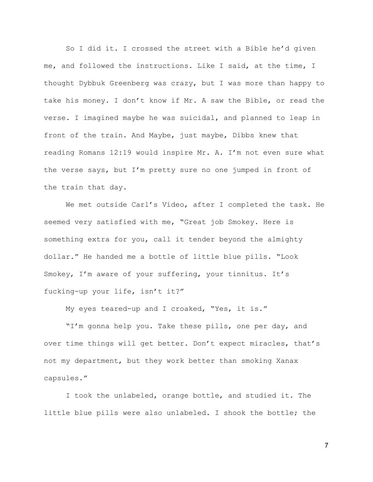So I did it. I crossed the street with a Bible he'd given me, and followed the instructions. Like I said, at the time, I thought Dybbuk Greenberg was crazy, but I was more than happy to take his money. I don't know if Mr. A saw the Bible, or read the verse. I imagined maybe he was suicidal, and planned to leap in front of the train. And Maybe, just maybe, Dibbs knew that reading Romans 12:19 would inspire Mr. A. I'm not even sure what the verse says, but I'm pretty sure no one jumped in front of the train that day.

We met outside Carl's Video, after I completed the task. He seemed very satisfied with me, "Great job Smokey. Here is something extra for you, call it tender beyond the almighty dollar." He handed me a bottle of little blue pills. "Look Smokey, I'm aware of your suffering, your tinnitus. It's fucking-up your life, isn't it?"

My eyes teared-up and I croaked, "Yes, it is."

"I'm gonna help you. Take these pills, one per day, and over time things will get better. Don't expect miracles, that's not my department, but they work better than smoking Xanax capsules."

I took the unlabeled, orange bottle, and studied it. The little blue pills were also unlabeled. I shook the bottle; the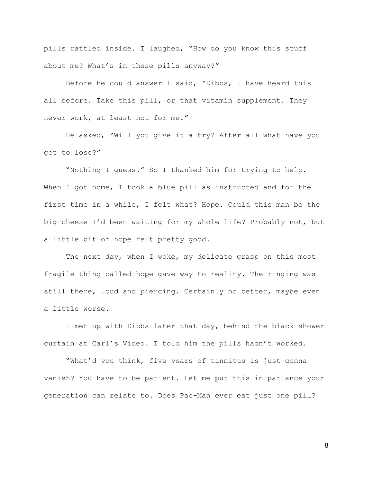pills rattled inside. I laughed, "How do you know this stuff about me? What's in these pills anyway?"

Before he could answer I said, "Dibbs, I have heard this all before. Take this pill, or that vitamin supplement. They never work, at least not for me."

He asked, "Will you give it a try? After all what have you got to lose?"

"Nothing I guess." So I thanked him for trying to help. When I got home, I took a blue pill as instructed and for the first time in a while, I felt what? Hope. Could this man be the big-cheese I'd been waiting for my whole life? Probably not, but a little bit of hope felt pretty good.

The next day, when I woke, my delicate grasp on this most fragile thing called hope gave way to reality. The ringing was still there, loud and piercing. Certainly no better, maybe even a little worse.

I met up with Dibbs later that day, behind the black shower curtain at Carl's Video. I told him the pills hadn't worked.

"What'd you think, five years of tinnitus is just gonna vanish? You have to be patient. Let me put this in parlance your generation can relate to. Does Pac-Man ever eat just one pill?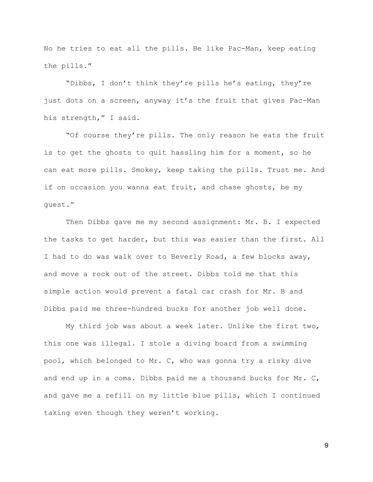No he tries to eat all the pills. Be like Pac-Man, keep eating the pills."

"Dibbs, I don't think they're pills he's eating, they're just dots on a screen, anyway it's the fruit that gives Pac-Man his strength," I said.

"Of course they're pills. The only reason he eats the fruit is to get the ghosts to quit hassling him for a moment, so he can eat more pills. Smokey, keep taking the pills. Trust me. And if on occasion you wanna eat fruit, and chase ghosts, be my guest."

Then Dibbs gave me my second assignment: Mr. B. I expected the tasks to get harder, but this was easier than the first. All I had to do was walk over to Beverly Road, a few blocks away, and move a rock out of the street. Dibbs told me that this simple action would prevent a fatal car crash for Mr. B and Dibbs paid me three-hundred bucks for another job well done.

My third job was about a week later. Unlike the first two, this one was illegal. I stole a diving board from a swimming pool, which belonged to Mr. C, who was gonna try a risky dive and end up in a coma. Dibbs paid me a thousand bucks for Mr. C, and gave me a refill on my little blue pills, which I continued taking even though they weren't working.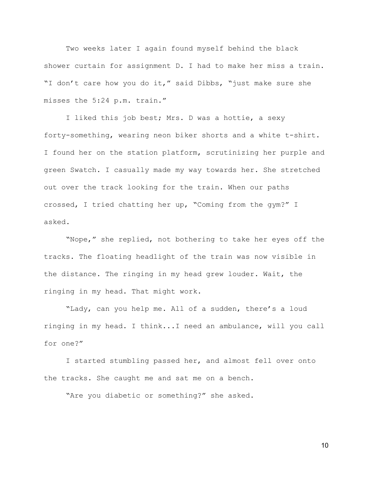Two weeks later I again found myself behind the black shower curtain for assignment D. I had to make her miss a train. "I don't care how you do it," said Dibbs, "just make sure she misses the 5:24 p.m. train."

I liked this job best; Mrs. D was a hottie, a sexy forty-something, wearing neon biker shorts and a white t-shirt. I found her on the station platform, scrutinizing her purple and green Swatch. I casually made my way towards her. She stretched out over the track looking for the train. When our paths crossed, I tried chatting her up, "Coming from the gym?" I asked.

"Nope," she replied, not bothering to take her eyes off the tracks. The floating headlight of the train was now visible in the distance. The ringing in my head grew louder. Wait, the ringing in my head. That might work.

"Lady, can you help me. All of a sudden, there's a loud ringing in my head. I think...I need an ambulance, will you call for one?"

I started stumbling passed her, and almost fell over onto the tracks. She caught me and sat me on a bench.

"Are you diabetic or something?" she asked.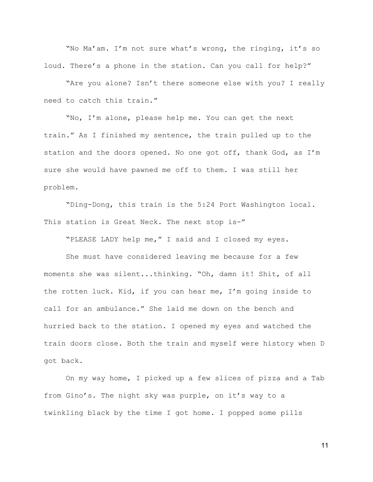"No Ma'am. I'm not sure what's wrong, the ringing, it's so loud. There's a phone in the station. Can you call for help?"

"Are you alone? Isn't there someone else with you? I really need to catch this train."

"No, I'm alone, please help me. You can get the next train." As I finished my sentence, the train pulled up to the station and the doors opened. No one got off, thank God, as I'm sure she would have pawned me off to them. I was still her problem.

"Ding-Dong, this train is the 5:24 Port Washington local. This station is Great Neck. The next stop is-"

"PLEASE LADY help me," I said and I closed my eyes.

She must have considered leaving me because for a few moments she was silent...thinking. "Oh, damn it! Shit, of all the rotten luck. Kid, if you can hear me, I'm going inside to call for an ambulance." She laid me down on the bench and hurried back to the station. I opened my eyes and watched the train doors close. Both the train and myself were history when D got back.

On my way home, I picked up a few slices of pizza and a Tab from Gino's. The night sky was purple, on it's way to a twinkling black by the time I got home. I popped some pills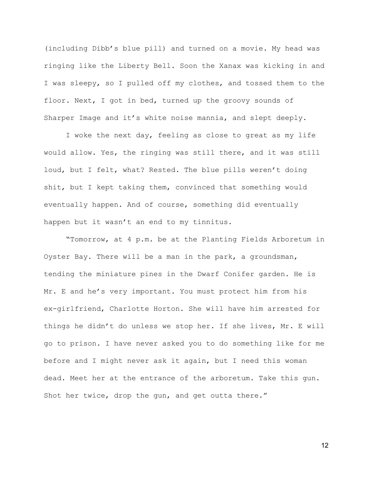(including Dibb's blue pill) and turned on a movie. My head was ringing like the Liberty Bell. Soon the Xanax was kicking in and I was sleepy, so I pulled off my clothes, and tossed them to the floor. Next, I got in bed, turned up the groovy sounds of Sharper Image and it's white noise mannia, and slept deeply.

I woke the next day, feeling as close to great as my life would allow. Yes, the ringing was still there, and it was still loud, but I felt, what? Rested. The blue pills weren't doing shit, but I kept taking them, convinced that something would eventually happen. And of course, something did eventually happen but it wasn't an end to my tinnitus.

"Tomorrow, at 4 p.m. be at the Planting Fields Arboretum in Oyster Bay. There will be a man in the park, a groundsman, tending the miniature pines in the Dwarf Conifer garden. He is Mr. E and he's very important. You must protect him from his ex-girlfriend, Charlotte Horton. She will have him arrested for things he didn't do unless we stop her. If she lives, Mr. E will go to prison. I have never asked you to do something like for me before and I might never ask it again, but I need this woman dead. Meet her at the entrance of the arboretum. Take this gun. Shot her twice, drop the gun, and get outta there."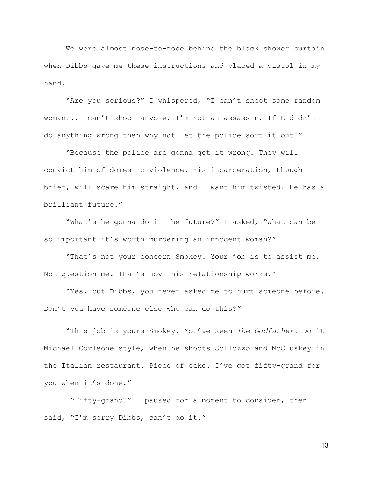We were almost nose-to-nose behind the black shower curtain when Dibbs gave me these instructions and placed a pistol in my hand.

"Are you serious?" I whispered, "I can't shoot some random woman...I can't shoot anyone. I'm not an assassin. If E didn't do anything wrong then why not let the police sort it out?"

"Because the police are gonna get it wrong. They will convict him of domestic violence. His incarceration, though brief, will scare him straight, and I want him twisted. He has a brilliant future."

"What's he gonna do in the future?" I asked, "what can be so important it's worth murdering an innocent woman?"

"That's not your concern Smokey. Your job is to assist me. Not question me. That's how this relationship works."

"Yes, but Dibbs, you never asked me to hurt someone before. Don't you have someone else who can do this?"

"This job is yours Smokey. You've seen *The Godfather.* Do it Michael Corleone style, when he shoots Sollozzo and McCluskey in the Italian restaurant. Piece of cake. I've got fifty-grand for you when it's done."

 "Fifty-grand?" I paused for a moment to consider, then said, "I'm sorry Dibbs, can't do it."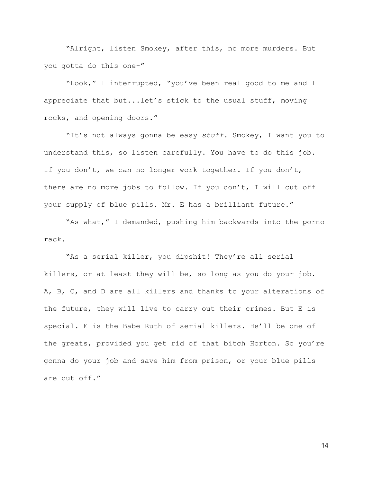"Alright, listen Smokey, after this, no more murders. But you gotta do this one-"

"Look," I interrupted, "you've been real good to me and I appreciate that but...let's stick to the usual stuff, moving rocks, and opening doors."

"It's not always gonna be easy *stuff*. Smokey, I want you to understand this, so listen carefully. You have to do this job. If you don't, we can no longer work together. If you don't, there are no more jobs to follow. If you don't, I will cut off your supply of blue pills. Mr. E has a brilliant future."

"As what," I demanded, pushing him backwards into the porno rack.

"As a serial killer, you dipshit! They're all serial killers, or at least they will be, so long as you do your job. A, B, C, and D are all killers and thanks to your alterations of the future, they will live to carry out their crimes. But E is special. E is the Babe Ruth of serial killers. He'll be one of the greats, provided you get rid of that bitch Horton. So you're gonna do your job and save him from prison, or your blue pills are cut off."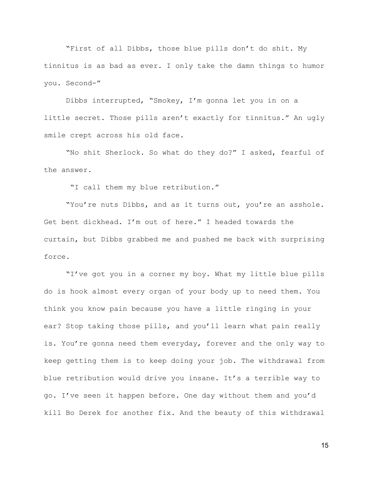"First of all Dibbs, those blue pills don't do shit. My tinnitus is as bad as ever. I only take the damn things to humor you. Second-"

Dibbs interrupted, "Smokey, I'm gonna let you in on a little secret. Those pills aren't exactly for tinnitus." An ugly smile crept across his old face.

"No shit Sherlock. So what do they do?" I asked, fearful of the answer.

"I call them my blue retribution."

"You're nuts Dibbs, and as it turns out, you're an asshole. Get bent dickhead. I'm out of here." I headed towards the curtain, but Dibbs grabbed me and pushed me back with surprising force.

"I've got you in a corner my boy. What my little blue pills do is hook almost every organ of your body up to need them. You think you know pain because you have a little ringing in your ear? Stop taking those pills, and you'll learn what pain really is. You're gonna need them everyday, forever and the only way to keep getting them is to keep doing your job. The withdrawal from blue retribution would drive you insane. It's a terrible way to go. I've seen it happen before. One day without them and you'd kill Bo Derek for another fix. And the beauty of this withdrawal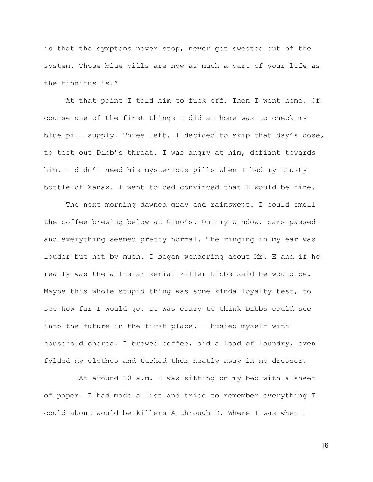is that the symptoms never stop, never get sweated out of the system. Those blue pills are now as much a part of your life as the tinnitus is."

At that point I told him to fuck off. Then I went home. Of course one of the first things I did at home was to check my blue pill supply. Three left. I decided to skip that day's dose, to test out Dibb's threat. I was angry at him, defiant towards him. I didn't need his mysterious pills when I had my trusty bottle of Xanax. I went to bed convinced that I would be fine.

The next morning dawned gray and rainswept. I could smell the coffee brewing below at Gino's. Out my window, cars passed and everything seemed pretty normal. The ringing in my ear was louder but not by much. I began wondering about Mr. E and if he really was the all-star serial killer Dibbs said he would be. Maybe this whole stupid thing was some kinda loyalty test, to see how far I would go. It was crazy to think Dibbs could see into the future in the first place. I busied myself with household chores. I brewed coffee, did a load of laundry, even folded my clothes and tucked them neatly away in my dresser.

 At around 10 a.m. I was sitting on my bed with a sheet of paper. I had made a list and tried to remember everything I could about would-be killers A through D. Where I was when I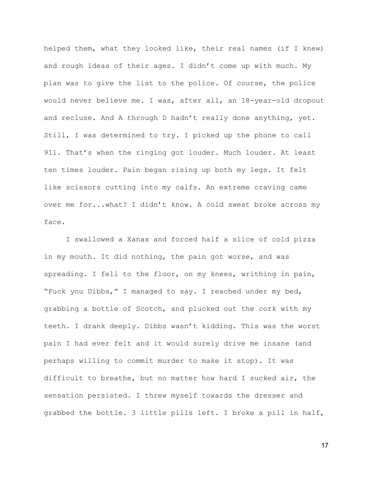helped them, what they looked like, their real names (if I knew) and rough ideas of their ages. I didn't come up with much. My plan was to give the list to the police. Of course, the police would never believe me. I was, after all, an 18-year-old dropout and recluse. And A through D hadn't really done anything, yet. Still, I was determined to try. I picked up the phone to call 911. That's when the ringing got louder. Much louder. At least ten times louder. Pain began rising up both my legs. It felt like scissors cutting into my calfs. An extreme craving came over me for...what? I didn't know. A cold sweat broke across my face.

I swallowed a Xanax and forced half a slice of cold pizza in my mouth. It did nothing, the pain got worse, and was spreading. I fell to the floor, on my knees, writhing in pain, "Fuck you Dibbs," I managed to say. I reached under my bed, grabbing a bottle of Scotch, and plucked out the cork with my teeth. I drank deeply. Dibbs wasn't kidding. This was the worst pain I had ever felt and it would surely drive me insane (and perhaps willing to commit murder to make it stop). It was difficult to breathe, but no matter how hard I sucked air, the sensation persisted. I threw myself towards the dresser and grabbed the bottle. 3 little pills left. I broke a pill in half,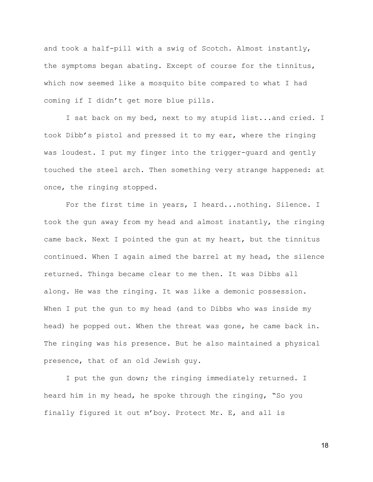and took a half-pill with a swig of Scotch. Almost instantly, the symptoms began abating. Except of course for the tinnitus, which now seemed like a mosquito bite compared to what I had coming if I didn't get more blue pills.

I sat back on my bed, next to my stupid list...and cried. I took Dibb's pistol and pressed it to my ear, where the ringing was loudest. I put my finger into the trigger-guard and gently touched the steel arch. Then something very strange happened: at once, the ringing stopped.

For the first time in years, I heard...nothing. Silence. I took the gun away from my head and almost instantly, the ringing came back. Next I pointed the gun at my heart, but the tinnitus continued. When I again aimed the barrel at my head, the silence returned. Things became clear to me then. It was Dibbs all along. He was the ringing. It was like a demonic possession. When I put the gun to my head (and to Dibbs who was inside my head) he popped out. When the threat was gone, he came back in. The ringing was his presence. But he also maintained a physical presence, that of an old Jewish guy.

I put the gun down; the ringing immediately returned. I heard him in my head, he spoke through the ringing, "So you finally figured it out m'boy. Protect Mr. E, and all is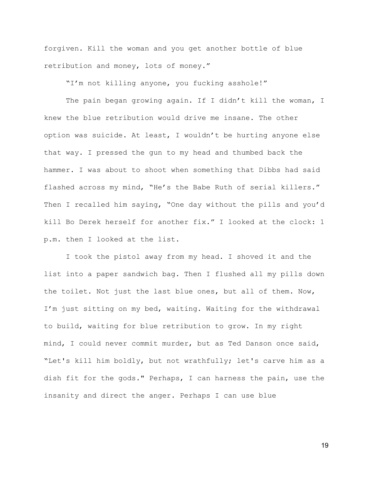forgiven. Kill the woman and you get another bottle of blue retribution and money, lots of money."

"I'm not killing anyone, you fucking asshole!"

The pain began growing again. If I didn't kill the woman, I knew the blue retribution would drive me insane. The other option was suicide. At least, I wouldn't be hurting anyone else that way. I pressed the gun to my head and thumbed back the hammer. I was about to shoot when something that Dibbs had said flashed across my mind, "He's the Babe Ruth of serial killers." Then I recalled him saying, "One day without the pills and you'd kill Bo Derek herself for another fix." I looked at the clock: 1 p.m. then I looked at the list.

I took the pistol away from my head. I shoved it and the list into a paper sandwich bag. Then I flushed all my pills down the toilet. Not just the last blue ones, but all of them. Now, I'm just sitting on my bed, waiting. Waiting for the withdrawal to build, waiting for blue retribution to grow. In my right mind, I could never commit murder, but as Ted Danson once said, "Let's kill him boldly, but not wrathfully; let's carve him as a dish fit for the gods." Perhaps, I can harness the pain, use the insanity and direct the anger. Perhaps I can use blue